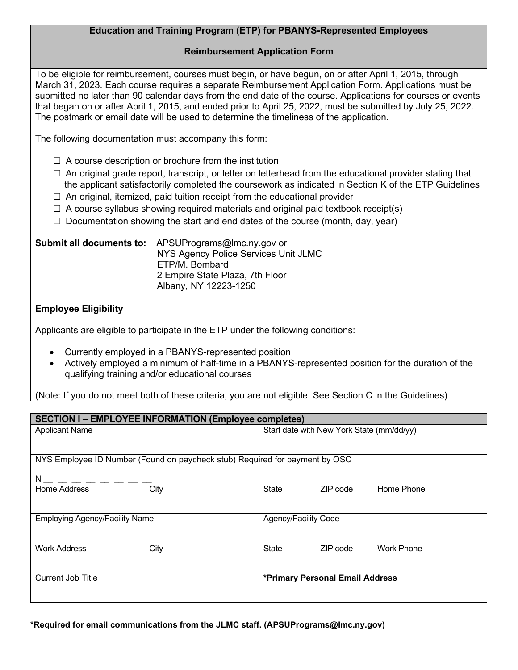## **Education and Training Program (ETP) for PBANYS-Represented Employees**

## **Reimbursement Application Form**

To be eligible for reimbursement, courses must begin, or have begun, on or after April 1, 2015, through March 31, 2023. Each course requires a separate Reimbursement Application Form. Applications must be submitted no later than 90 calendar days from the end date of the course. Applications for courses or events that began on or after April 1, 2015, and ended prior to April 25, 2022, must be submitted by July 25, 2022. The postmark or email date will be used to determine the timeliness of the application.

The following documentation must accompany this form:

- $\Box$  A course description or brochure from the institution
- $\Box$  An original grade report, transcript, or letter on letterhead from the educational provider stating that the applicant satisfactorily completed the coursework as indicated in Section K of the ETP Guidelines
- $\Box$  An original, itemized, paid tuition receipt from the educational provider
- $\Box$  A course syllabus showing required materials and original paid textbook receipt(s)
- $\Box$  Documentation showing the start and end dates of the course (month, day, year)

| Submit all documents to: | APSUPrograms@lmc.ny.gov or           |  |  |  |
|--------------------------|--------------------------------------|--|--|--|
|                          | NYS Agency Police Services Unit JLMC |  |  |  |
|                          | ETP/M. Bombard                       |  |  |  |
|                          | 2 Empire State Plaza, 7th Floor      |  |  |  |
|                          | Albany, NY 12223-1250                |  |  |  |

## **Employee Eligibility**

Applicants are eligible to participate in the ETP under the following conditions:

- Currently employed in a PBANYS-represented position
- Actively employed a minimum of half-time in a PBANYS-represented position for the duration of the qualifying training and/or educational courses

(Note: If you do not meet both of these criteria, you are not eligible. See Section C in the Guidelines)

| <b>SECTION I-EMPLOYEE INFORMATION (Employee completes)</b>                  |      |                                           |          |                   |  |  |  |
|-----------------------------------------------------------------------------|------|-------------------------------------------|----------|-------------------|--|--|--|
| <b>Applicant Name</b>                                                       |      | Start date with New York State (mm/dd/yy) |          |                   |  |  |  |
|                                                                             |      |                                           |          |                   |  |  |  |
| NYS Employee ID Number (Found on paycheck stub) Required for payment by OSC |      |                                           |          |                   |  |  |  |
| N                                                                           |      |                                           |          |                   |  |  |  |
| Home Address                                                                | City | <b>State</b>                              | ZIP code | Home Phone        |  |  |  |
|                                                                             |      |                                           |          |                   |  |  |  |
| <b>Employing Agency/Facility Name</b>                                       |      | Agency/Facility Code                      |          |                   |  |  |  |
| <b>Work Address</b>                                                         | City | <b>State</b>                              | ZIP code | <b>Work Phone</b> |  |  |  |
| <b>Current Job Title</b>                                                    |      | *Primary Personal Email Address           |          |                   |  |  |  |

**\*Required for email communications from the JLMC staff. (APSUPrograms@lmc.ny.gov)**